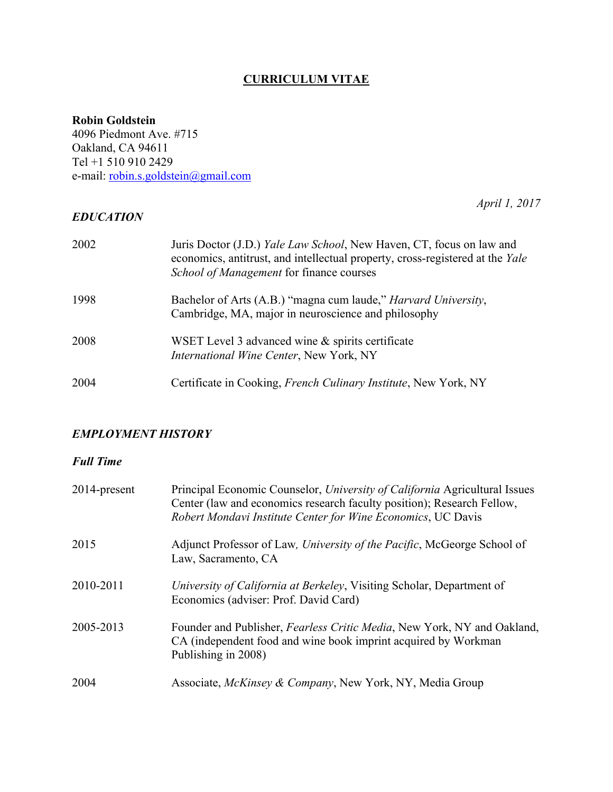# **CURRICULUM VITAE**

## **Robin Goldstein**

4096 Piedmont Ave. #715 Oakland, CA 94611 Tel +1 510 910 2429 e-mail: robin.s.goldstein@gmail.com

# *EDUCATION*

*April 1, 2017*

| 2002 | Juris Doctor (J.D.) <i>Yale Law School</i> , New Haven, CT, focus on law and<br>economics, antitrust, and intellectual property, cross-registered at the Yale<br>School of Management for finance courses |
|------|-----------------------------------------------------------------------------------------------------------------------------------------------------------------------------------------------------------|
| 1998 | Bachelor of Arts (A.B.) "magna cum laude," <i>Harvard University</i> ,<br>Cambridge, MA, major in neuroscience and philosophy                                                                             |
| 2008 | WSET Level 3 advanced wine & spirits certificate<br>International Wine Center, New York, NY                                                                                                               |
| 2004 | Certificate in Cooking, <i>French Culinary Institute</i> , New York, NY                                                                                                                                   |

# *EMPLOYMENT HISTORY*

# *Full Time*

| 2014-present | Principal Economic Counselor, University of California Agricultural Issues<br>Center (law and economics research faculty position); Research Fellow,<br>Robert Mondavi Institute Center for Wine Economics, UC Davis |
|--------------|----------------------------------------------------------------------------------------------------------------------------------------------------------------------------------------------------------------------|
| 2015         | Adjunct Professor of Law, University of the Pacific, McGeorge School of<br>Law, Sacramento, CA                                                                                                                       |
| 2010-2011    | University of California at Berkeley, Visiting Scholar, Department of<br>Economics (adviser: Prof. David Card)                                                                                                       |
| 2005-2013    | Founder and Publisher, <i>Fearless Critic Media</i> , New York, NY and Oakland,<br>CA (independent food and wine book imprint acquired by Workman<br>Publishing in 2008)                                             |
| 2004         | Associate, <i>McKinsey &amp; Company</i> , New York, NY, Media Group                                                                                                                                                 |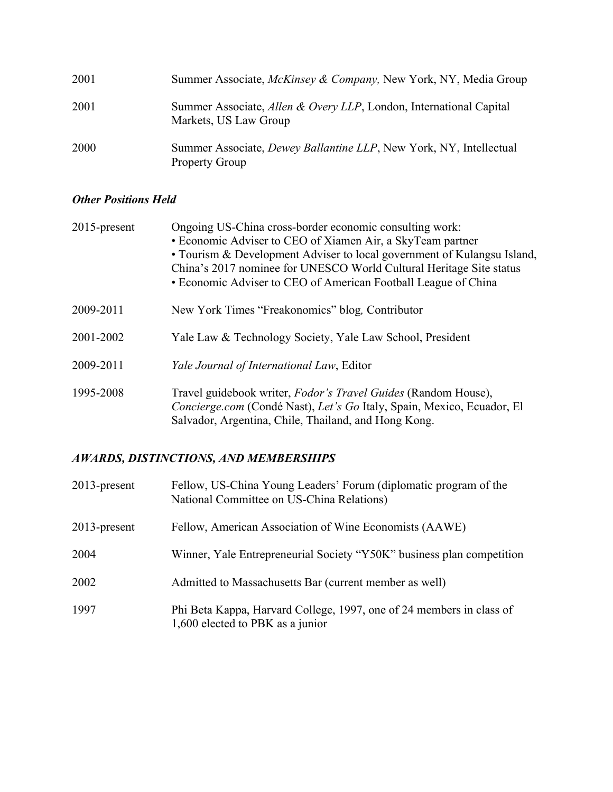| 2001 | Summer Associate, McKinsey & Company, New York, NY, Media Group                                     |
|------|-----------------------------------------------------------------------------------------------------|
| 2001 | Summer Associate, Allen & Overy LLP, London, International Capital<br>Markets, US Law Group         |
| 2000 | Summer Associate, <i>Dewey Ballantine LLP</i> , New York, NY, Intellectual<br><b>Property Group</b> |

# *Other Positions Held*

| 2015-present | Ongoing US-China cross-border economic consulting work:<br>• Economic Adviser to CEO of Xiamen Air, a SkyTeam partner<br>• Tourism & Development Adviser to local government of Kulangsu Island,<br>China's 2017 nominee for UNESCO World Cultural Heritage Site status<br>• Economic Adviser to CEO of American Football League of China |
|--------------|-------------------------------------------------------------------------------------------------------------------------------------------------------------------------------------------------------------------------------------------------------------------------------------------------------------------------------------------|
| 2009-2011    | New York Times "Freakonomics" blog, Contributor                                                                                                                                                                                                                                                                                           |
| 2001-2002    | Yale Law & Technology Society, Yale Law School, President                                                                                                                                                                                                                                                                                 |
| 2009-2011    | <i>Yale Journal of International Law, Editor</i>                                                                                                                                                                                                                                                                                          |
| 1995-2008    | Travel guidebook writer, Fodor's Travel Guides (Random House),<br>Concierge.com (Condé Nast), Let's Go Italy, Spain, Mexico, Ecuador, El<br>Salvador, Argentina, Chile, Thailand, and Hong Kong.                                                                                                                                          |

# *AWARDS, DISTINCTIONS, AND MEMBERSHIPS*

| $2013$ -present | Fellow, US-China Young Leaders' Forum (diplomatic program of the<br>National Committee on US-China Relations) |
|-----------------|---------------------------------------------------------------------------------------------------------------|
| $2013$ -present | Fellow, American Association of Wine Economists (AAWE)                                                        |
| 2004            | Winner, Yale Entrepreneurial Society "Y50K" business plan competition                                         |
| 2002            | Admitted to Massachusetts Bar (current member as well)                                                        |
| 1997            | Phi Beta Kappa, Harvard College, 1997, one of 24 members in class of<br>1,600 elected to PBK as a junior      |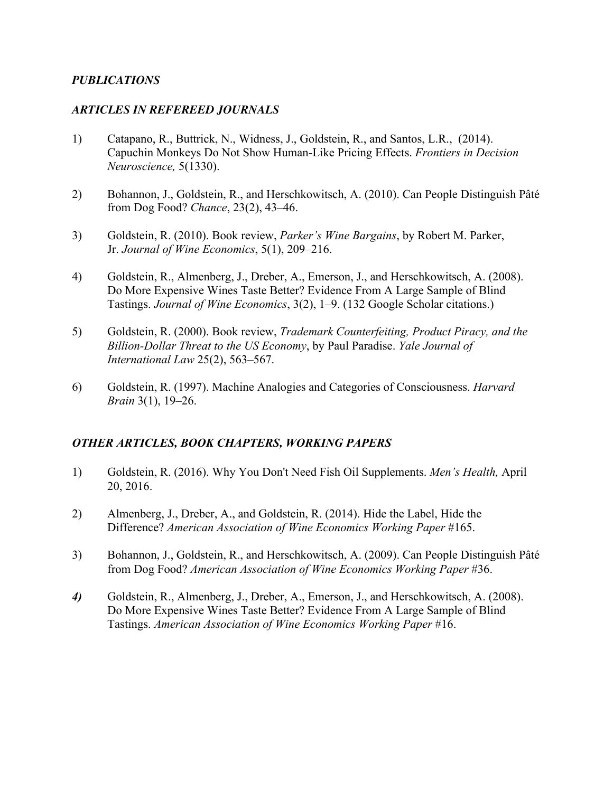## *PUBLICATIONS*

## *ARTICLES IN REFEREED JOURNALS*

- 1) Catapano, R., Buttrick, N., Widness, J., Goldstein, R., and Santos, L.R., (2014). Capuchin Monkeys Do Not Show Human-Like Pricing Effects. *Frontiers in Decision Neuroscience,* 5(1330).
- 2) Bohannon, J., Goldstein, R., and Herschkowitsch, A. (2010). Can People Distinguish Pâté from Dog Food? *Chance*, 23(2), 43–46.
- 3) Goldstein, R. (2010). Book review, *Parker's Wine Bargains*, by Robert M. Parker, Jr. *Journal of Wine Economics*, 5(1), 209–216.
- 4) Goldstein, R., Almenberg, J., Dreber, A., Emerson, J., and Herschkowitsch, A. (2008). Do More Expensive Wines Taste Better? Evidence From A Large Sample of Blind Tastings. *Journal of Wine Economics*, 3(2), 1–9. (132 Google Scholar citations.)
- 5) Goldstein, R. (2000). Book review, *Trademark Counterfeiting, Product Piracy, and the Billion-Dollar Threat to the US Economy*, by Paul Paradise. *Yale Journal of International Law* 25(2), 563–567.
- 6) Goldstein, R. (1997). Machine Analogies and Categories of Consciousness. *Harvard Brain* 3(1), 19–26.

# *OTHER ARTICLES, BOOK CHAPTERS, WORKING PAPERS*

- 1) Goldstein, R. (2016). Why You Don't Need Fish Oil Supplements. *Men's Health,* April 20, 2016.
- 2) Almenberg, J., Dreber, A., and Goldstein, R. (2014). Hide the Label, Hide the Difference? *American Association of Wine Economics Working Paper* #165.
- 3) Bohannon, J., Goldstein, R., and Herschkowitsch, A. (2009). Can People Distinguish Pâté from Dog Food? *American Association of Wine Economics Working Paper* #36.
- *4)* Goldstein, R., Almenberg, J., Dreber, A., Emerson, J., and Herschkowitsch, A. (2008). Do More Expensive Wines Taste Better? Evidence From A Large Sample of Blind Tastings. *American Association of Wine Economics Working Paper* #16.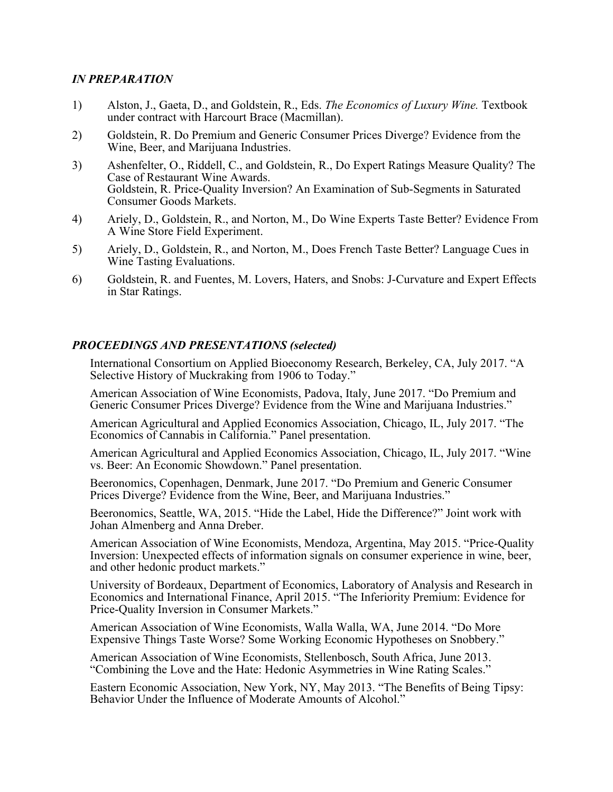## *IN PREPARATION*

- 1) Alston, J., Gaeta, D., and Goldstein, R., Eds. *The Economics of Luxury Wine.* Textbook under contract with Harcourt Brace (Macmillan).
- 2) Goldstein, R. Do Premium and Generic Consumer Prices Diverge? Evidence from the Wine, Beer, and Marijuana Industries.
- 3) Ashenfelter, O., Riddell, C., and Goldstein, R., Do Expert Ratings Measure Quality? The Case of Restaurant Wine Awards. Goldstein, R. Price-Quality Inversion? An Examination of Sub-Segments in Saturated Consumer Goods Markets.
- 4) Ariely, D., Goldstein, R., and Norton, M., Do Wine Experts Taste Better? Evidence From A Wine Store Field Experiment.
- 5) Ariely, D., Goldstein, R., and Norton, M., Does French Taste Better? Language Cues in Wine Tasting Evaluations.
- 6) Goldstein, R. and Fuentes, M. Lovers, Haters, and Snobs: J-Curvature and Expert Effects in Star Ratings.

## *PROCEEDINGS AND PRESENTATIONS (selected)*

International Consortium on Applied Bioeconomy Research, Berkeley, CA, July 2017. "A Selective History of Muckraking from 1906 to Today."

American Association of Wine Economists, Padova, Italy, June 2017. "Do Premium and Generic Consumer Prices Diverge? Evidence from the Wine and Marijuana Industries."

American Agricultural and Applied Economics Association, Chicago, IL, July 2017. "The Economics of Cannabis in California." Panel presentation.

American Agricultural and Applied Economics Association, Chicago, IL, July 2017. "Wine vs. Beer: An Economic Showdown." Panel presentation.

Beeronomics, Copenhagen, Denmark, June 2017. "Do Premium and Generic Consumer Prices Diverge? Evidence from the Wine, Beer, and Marijuana Industries."

Beeronomics, Seattle, WA, 2015. "Hide the Label, Hide the Difference?" Joint work with Johan Almenberg and Anna Dreber.

American Association of Wine Economists, Mendoza, Argentina, May 2015. "Price-Quality Inversion: Unexpected effects of information signals on consumer experience in wine, beer, and other hedonic product markets."

University of Bordeaux, Department of Economics, Laboratory of Analysis and Research in Economics and International Finance, April 2015. "The Inferiority Premium: Evidence for Price-Quality Inversion in Consumer Markets."

American Association of Wine Economists, Walla Walla, WA, June 2014. "Do More Expensive Things Taste Worse? Some Working Economic Hypotheses on Snobbery."

American Association of Wine Economists, Stellenbosch, South Africa, June 2013. "Combining the Love and the Hate: Hedonic Asymmetries in Wine Rating Scales."

Eastern Economic Association, New York, NY, May 2013. "The Benefits of Being Tipsy: Behavior Under the Influence of Moderate Amounts of Alcohol."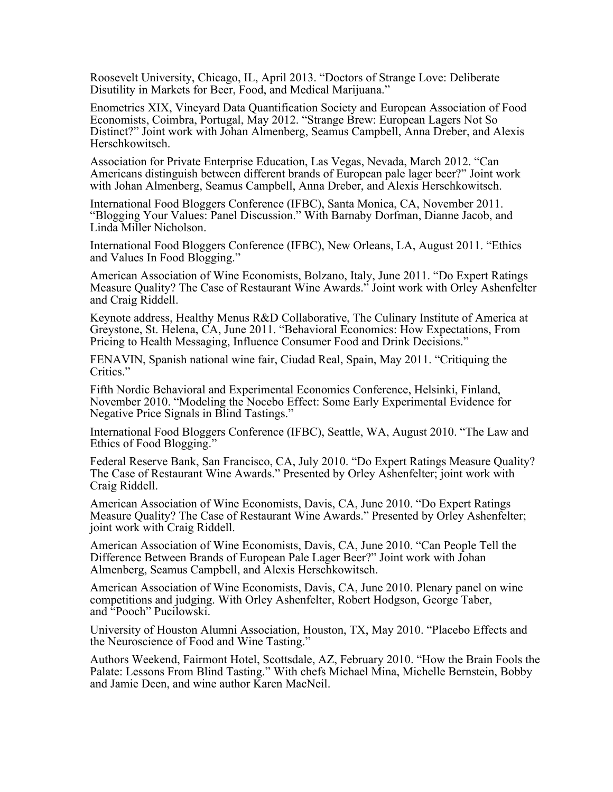Roosevelt University, Chicago, IL, April 2013. "Doctors of Strange Love: Deliberate Disutility in Markets for Beer, Food, and Medical Marijuana."

Enometrics XIX, Vineyard Data Quantification Society and European Association of Food Economists, Coimbra, Portugal, May 2012. "Strange Brew: European Lagers Not So Distinct?" Joint work with Johan Almenberg, Seamus Campbell, Anna Dreber, and Alexis Herschkowitsch.

Association for Private Enterprise Education, Las Vegas, Nevada, March 2012. "Can Americans distinguish between different brands of European pale lager beer?" Joint work with Johan Almenberg, Seamus Campbell, Anna Dreber, and Alexis Herschkowitsch.

International Food Bloggers Conference (IFBC), Santa Monica, CA, November 2011. "Blogging Your Values: Panel Discussion." With Barnaby Dorfman, Dianne Jacob, and Linda Miller Nicholson.

International Food Bloggers Conference (IFBC), New Orleans, LA, August 2011. "Ethics and Values In Food Blogging."

American Association of Wine Economists, Bolzano, Italy, June 2011. "Do Expert Ratings Measure Quality? The Case of Restaurant Wine Awards." Joint work with Orley Ashenfelter and Craig Riddell.

Keynote address, Healthy Menus R&D Collaborative, The Culinary Institute of America at Greystone, St. Helena, CA, June 2011. "Behavioral Economics: How Expectations, From Pricing to Health Messaging, Influence Consumer Food and Drink Decisions."

FENAVIN, Spanish national wine fair, Ciudad Real, Spain, May 2011. "Critiquing the Critics."

Fifth Nordic Behavioral and Experimental Economics Conference, Helsinki, Finland, November 2010. "Modeling the Nocebo Effect: Some Early Experimental Evidence for Negative Price Signals in Blind Tastings."

International Food Bloggers Conference (IFBC), Seattle, WA, August 2010. "The Law and Ethics of Food Blogging."

Federal Reserve Bank, San Francisco, CA, July 2010. "Do Expert Ratings Measure Quality? The Case of Restaurant Wine Awards." Presented by Orley Ashenfelter; joint work with Craig Riddell.

American Association of Wine Economists, Davis, CA, June 2010. "Do Expert Ratings Measure Quality? The Case of Restaurant Wine Awards." Presented by Orley Ashenfelter; joint work with Craig Riddell.

American Association of Wine Economists, Davis, CA, June 2010. "Can People Tell the Difference Between Brands of European Pale Lager Beer?" Joint work with Johan Almenberg, Seamus Campbell, and Alexis Herschkowitsch.

American Association of Wine Economists, Davis, CA, June 2010. Plenary panel on wine competitions and judging. With Orley Ashenfelter, Robert Hodgson, George Taber, and "Pooch" Pucilowski.

University of Houston Alumni Association, Houston, TX, May 2010. "Placebo Effects and the Neuroscience of Food and Wine Tasting."

Authors Weekend, Fairmont Hotel, Scottsdale, AZ, February 2010. "How the Brain Fools the Palate: Lessons From Blind Tasting." With chefs Michael Mina, Michelle Bernstein, Bobby and Jamie Deen, and wine author Karen MacNeil.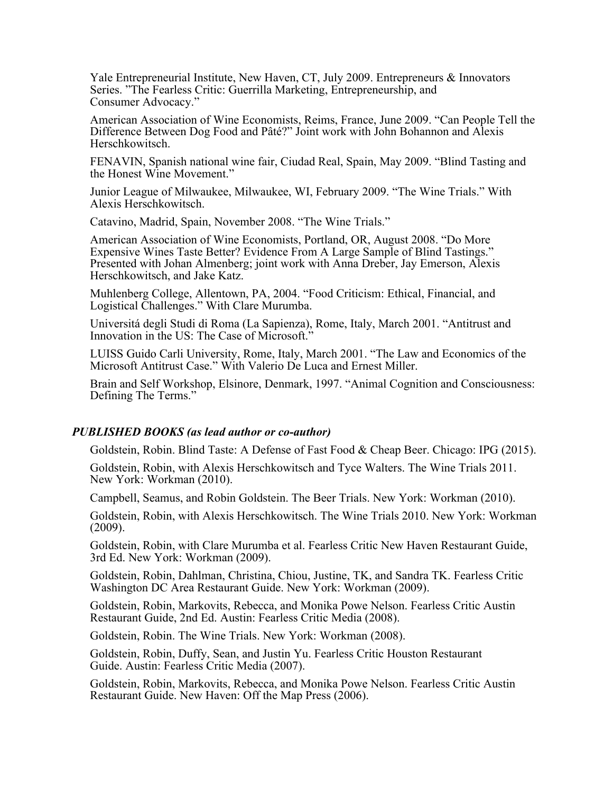Yale Entrepreneurial Institute, New Haven, CT, July 2009. Entrepreneurs & Innovators Series. "The Fearless Critic: Guerrilla Marketing, Entrepreneurship, and Consumer Advocacy."

American Association of Wine Economists, Reims, France, June 2009. "Can People Tell the Difference Between Dog Food and Pâté?" Joint work with John Bohannon and Alexis Herschkowitsch.

FENAVIN, Spanish national wine fair, Ciudad Real, Spain, May 2009. "Blind Tasting and the Honest Wine Movement."

Junior League of Milwaukee, Milwaukee, WI, February 2009. "The Wine Trials." With Alexis Herschkowitsch.

Catavino, Madrid, Spain, November 2008. "The Wine Trials."

American Association of Wine Economists, Portland, OR, August 2008. "Do More Expensive Wines Taste Better? Evidence From A Large Sample of Blind Tastings." Presented with Johan Almenberg; joint work with Anna Dreber, Jay Emerson, Alexis Herschkowitsch, and Jake Katz.

Muhlenberg College, Allentown, PA, 2004. "Food Criticism: Ethical, Financial, and Logistical Challenges." With Clare Murumba.

Universitá degli Studi di Roma (La Sapienza), Rome, Italy, March 2001. "Antitrust and Innovation in the US: The Case of Microsoft."

LUISS Guido Carli University, Rome, Italy, March 2001. "The Law and Economics of the Microsoft Antitrust Case." With Valerio De Luca and Ernest Miller.

Brain and Self Workshop, Elsinore, Denmark, 1997. "Animal Cognition and Consciousness: Defining The Terms."

#### *PUBLISHED BOOKS (as lead author or co-author)*

Goldstein, Robin. Blind Taste: A Defense of Fast Food & Cheap Beer. Chicago: IPG (2015).

Goldstein, Robin, with Alexis Herschkowitsch and Tyce Walters. The Wine Trials 2011. New York: Workman (2010).

Campbell, Seamus, and Robin Goldstein. The Beer Trials. New York: Workman (2010).

Goldstein, Robin, with Alexis Herschkowitsch. The Wine Trials 2010. New York: Workman (2009).

Goldstein, Robin, with Clare Murumba et al. Fearless Critic New Haven Restaurant Guide, 3rd Ed. New York: Workman (2009).

Goldstein, Robin, Dahlman, Christina, Chiou, Justine, TK, and Sandra TK. Fearless Critic Washington DC Area Restaurant Guide. New York: Workman (2009).

Goldstein, Robin, Markovits, Rebecca, and Monika Powe Nelson. Fearless Critic Austin Restaurant Guide, 2nd Ed. Austin: Fearless Critic Media (2008).

Goldstein, Robin. The Wine Trials. New York: Workman (2008).

Goldstein, Robin, Duffy, Sean, and Justin Yu. Fearless Critic Houston Restaurant Guide. Austin: Fearless Critic Media (2007).

Goldstein, Robin, Markovits, Rebecca, and Monika Powe Nelson. Fearless Critic Austin Restaurant Guide. New Haven: Off the Map Press (2006).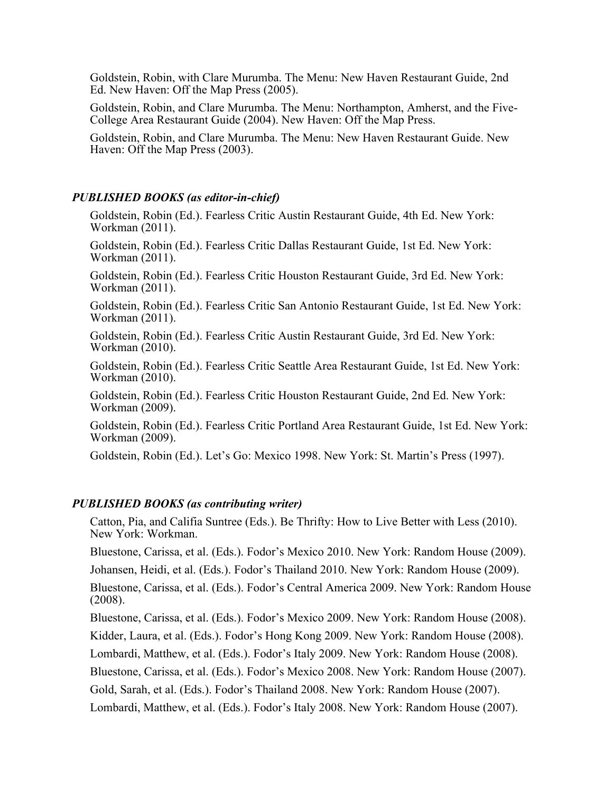Goldstein, Robin, with Clare Murumba. The Menu: New Haven Restaurant Guide, 2nd Ed. New Haven: Off the Map Press (2005).

Goldstein, Robin, and Clare Murumba. The Menu: Northampton, Amherst, and the Five- College Area Restaurant Guide (2004). New Haven: Off the Map Press.

Goldstein, Robin, and Clare Murumba. The Menu: New Haven Restaurant Guide. New Haven: Off the Map Press (2003).

#### *PUBLISHED BOOKS (as editor-in-chief)*

Goldstein, Robin (Ed.). Fearless Critic Austin Restaurant Guide, 4th Ed. New York: Workman (2011).

Goldstein, Robin (Ed.). Fearless Critic Dallas Restaurant Guide, 1st Ed. New York: Workman (2011).

Goldstein, Robin (Ed.). Fearless Critic Houston Restaurant Guide, 3rd Ed. New York: Workman (2011).

Goldstein, Robin (Ed.). Fearless Critic San Antonio Restaurant Guide, 1st Ed. New York: Workman (2011).

Goldstein, Robin (Ed.). Fearless Critic Austin Restaurant Guide, 3rd Ed. New York: Workman (2010).

Goldstein, Robin (Ed.). Fearless Critic Seattle Area Restaurant Guide, 1st Ed. New York: Workman (2010).

Goldstein, Robin (Ed.). Fearless Critic Houston Restaurant Guide, 2nd Ed. New York: Workman (2009).

Goldstein, Robin (Ed.). Fearless Critic Portland Area Restaurant Guide, 1st Ed. New York: Workman (2009).

Goldstein, Robin (Ed.). Let's Go: Mexico 1998. New York: St. Martin's Press (1997).

#### *PUBLISHED BOOKS (as contributing writer)*

Catton, Pia, and Califia Suntree (Eds.). Be Thrifty: How to Live Better with Less (2010). New York: Workman.

Bluestone, Carissa, et al. (Eds.). Fodor's Mexico 2010. New York: Random House (2009).

Johansen, Heidi, et al. (Eds.). Fodor's Thailand 2010. New York: Random House (2009).

Bluestone, Carissa, et al. (Eds.). Fodor's Central America 2009. New York: Random House (2008).

Bluestone, Carissa, et al. (Eds.). Fodor's Mexico 2009. New York: Random House (2008).

Kidder, Laura, et al. (Eds.). Fodor's Hong Kong 2009. New York: Random House (2008).

Lombardi, Matthew, et al. (Eds.). Fodor's Italy 2009. New York: Random House (2008).

Bluestone, Carissa, et al. (Eds.). Fodor's Mexico 2008. New York: Random House (2007).

Gold, Sarah, et al. (Eds.). Fodor's Thailand 2008. New York: Random House (2007).

Lombardi, Matthew, et al. (Eds.). Fodor's Italy 2008. New York: Random House (2007).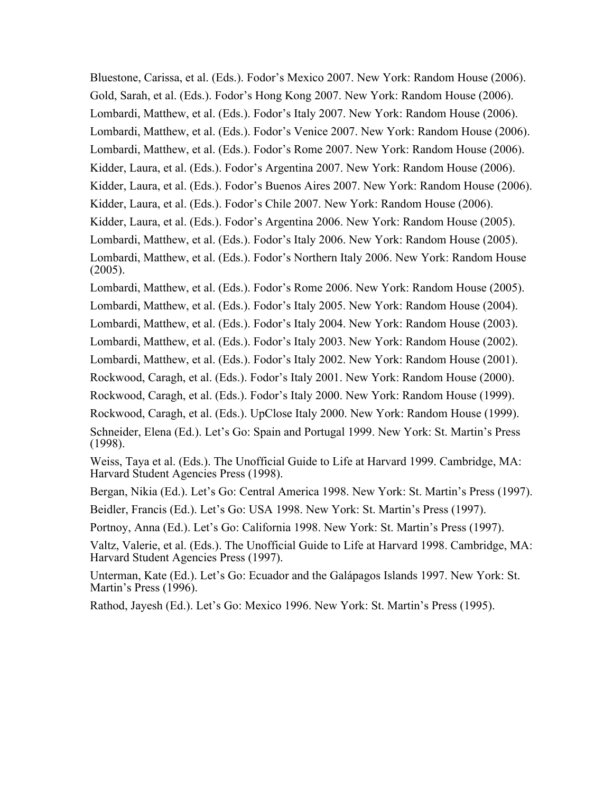Bluestone, Carissa, et al. (Eds.). Fodor's Mexico 2007. New York: Random House (2006). Gold, Sarah, et al. (Eds.). Fodor's Hong Kong 2007. New York: Random House (2006). Lombardi, Matthew, et al. (Eds.). Fodor's Italy 2007. New York: Random House (2006). Lombardi, Matthew, et al. (Eds.). Fodor's Venice 2007. New York: Random House (2006). Lombardi, Matthew, et al. (Eds.). Fodor's Rome 2007. New York: Random House (2006). Kidder, Laura, et al. (Eds.). Fodor's Argentina 2007. New York: Random House (2006). Kidder, Laura, et al. (Eds.). Fodor's Buenos Aires 2007. New York: Random House (2006). Kidder, Laura, et al. (Eds.). Fodor's Chile 2007. New York: Random House (2006). Kidder, Laura, et al. (Eds.). Fodor's Argentina 2006. New York: Random House (2005). Lombardi, Matthew, et al. (Eds.). Fodor's Italy 2006. New York: Random House (2005). Lombardi, Matthew, et al. (Eds.). Fodor's Northern Italy 2006. New York: Random House (2005).

Lombardi, Matthew, et al. (Eds.). Fodor's Rome 2006. New York: Random House (2005). Lombardi, Matthew, et al. (Eds.). Fodor's Italy 2005. New York: Random House (2004).

Lombardi, Matthew, et al. (Eds.). Fodor's Italy 2004. New York: Random House (2003).

Lombardi, Matthew, et al. (Eds.). Fodor's Italy 2003. New York: Random House (2002).

Lombardi, Matthew, et al. (Eds.). Fodor's Italy 2002. New York: Random House (2001).

Rockwood, Caragh, et al. (Eds.). Fodor's Italy 2001. New York: Random House (2000).

Rockwood, Caragh, et al. (Eds.). Fodor's Italy 2000. New York: Random House (1999).

Rockwood, Caragh, et al. (Eds.). UpClose Italy 2000. New York: Random House (1999). Schneider, Elena (Ed.). Let's Go: Spain and Portugal 1999. New York: St. Martin's Press (1998).

Weiss, Taya et al. (Eds.). The Unofficial Guide to Life at Harvard 1999. Cambridge, MA: Harvard Student Agencies Press (1998).

Bergan, Nikia (Ed.). Let's Go: Central America 1998. New York: St. Martin's Press (1997). Beidler, Francis (Ed.). Let's Go: USA 1998. New York: St. Martin's Press (1997).

Portnoy, Anna (Ed.). Let's Go: California 1998. New York: St. Martin's Press (1997).

Valtz, Valerie, et al. (Eds.). The Unofficial Guide to Life at Harvard 1998. Cambridge, MA: Harvard Student Agencies Press (1997).

Unterman, Kate (Ed.). Let's Go: Ecuador and the Galápagos Islands 1997. New York: St. Martin's Press (1996).

Rathod, Jayesh (Ed.). Let's Go: Mexico 1996. New York: St. Martin's Press (1995).